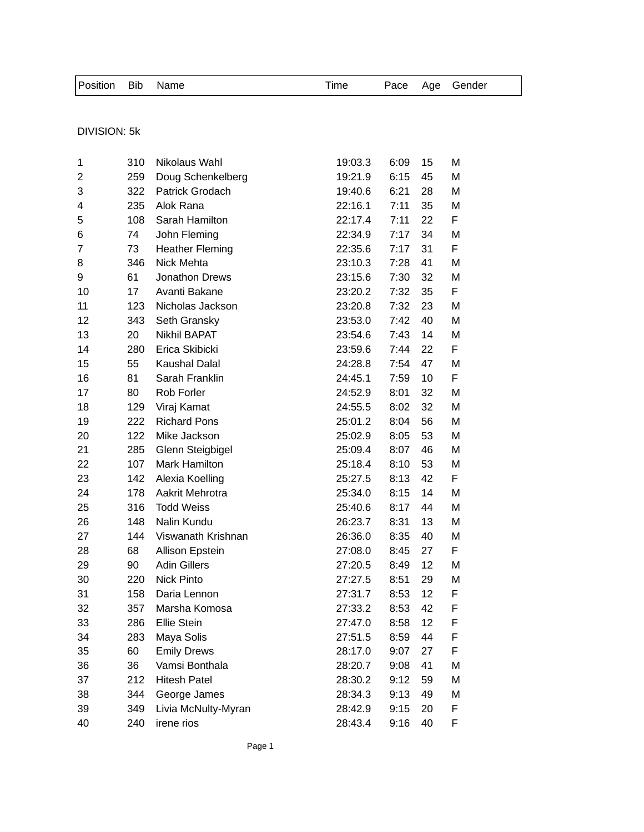| Position Bib Name |  | Time |  | Pace Age Gender |  |
|-------------------|--|------|--|-----------------|--|
|                   |  |      |  |                 |  |

## DIVISION: 5k

| 1              | 310 | Nikolaus Wahl          | 19:03.3 | 6:09 | 15 | Μ  |
|----------------|-----|------------------------|---------|------|----|----|
| $\overline{c}$ | 259 | Doug Schenkelberg      | 19:21.9 | 6:15 | 45 | М  |
| 3              | 322 | Patrick Grodach        | 19:40.6 | 6:21 | 28 | М  |
| 4              | 235 | Alok Rana              | 22:16.1 | 7:11 | 35 | M  |
| 5              | 108 | Sarah Hamilton         | 22:17.4 | 7:11 | 22 | F  |
| 6              | 74  | John Fleming           | 22:34.9 | 7:17 | 34 | M  |
| 7              | 73  | <b>Heather Fleming</b> | 22:35.6 | 7:17 | 31 | F  |
| 8              | 346 | Nick Mehta             | 23:10.3 | 7:28 | 41 | M  |
| 9              | 61  | Jonathon Drews         | 23:15.6 | 7:30 | 32 | M  |
| 10             | 17  | Avanti Bakane          | 23:20.2 | 7:32 | 35 | F  |
| 11             | 123 | Nicholas Jackson       | 23:20.8 | 7:32 | 23 | M  |
| 12             | 343 | Seth Gransky           | 23:53.0 | 7:42 | 40 | M  |
| 13             | 20  | <b>Nikhil BAPAT</b>    | 23:54.6 | 7:43 | 14 | M  |
| 14             | 280 | Erica Skibicki         | 23:59.6 | 7:44 | 22 | F  |
| 15             | 55  | <b>Kaushal Dalal</b>   | 24:28.8 | 7:54 | 47 | M  |
| 16             | 81  | Sarah Franklin         | 24:45.1 | 7:59 | 10 | F. |
| 17             | 80  | Rob Forler             | 24:52.9 | 8:01 | 32 | M  |
| 18             | 129 | Viraj Kamat            | 24:55.5 | 8:02 | 32 | M  |
| 19             | 222 | <b>Richard Pons</b>    | 25:01.2 | 8:04 | 56 | M  |
| 20             | 122 | Mike Jackson           | 25:02.9 | 8:05 | 53 | M  |
| 21             | 285 | Glenn Steigbigel       | 25:09.4 | 8:07 | 46 | М  |
| 22             | 107 | Mark Hamilton          | 25:18.4 | 8:10 | 53 | M  |
| 23             | 142 | Alexia Koelling        | 25:27.5 | 8:13 | 42 | F. |
| 24             | 178 | Aakrit Mehrotra        | 25:34.0 | 8:15 | 14 | М  |
| 25             | 316 | <b>Todd Weiss</b>      | 25:40.6 | 8:17 | 44 | M  |
| 26             | 148 | Nalin Kundu            | 26:23.7 | 8:31 | 13 | M  |
| 27             | 144 | Viswanath Krishnan     | 26:36.0 | 8:35 | 40 | M  |
| 28             | 68  | Allison Epstein        | 27:08.0 | 8:45 | 27 | F  |
| 29             | 90  | <b>Adin Gillers</b>    | 27:20.5 | 8:49 | 12 | М  |
| 30             | 220 | <b>Nick Pinto</b>      | 27:27.5 | 8:51 | 29 | M  |
| 31             | 158 | Daria Lennon           | 27:31.7 | 8:53 | 12 | F  |
| 32             | 357 | Marsha Komosa          | 27:33.2 | 8:53 | 42 | F  |
| 33             | 286 | Ellie Stein            | 27:47.0 | 8:58 | 12 | F  |
| 34             | 283 | Maya Solis             | 27:51.5 | 8:59 | 44 | F  |
| 35             | 60  | <b>Emily Drews</b>     | 28:17.0 | 9:07 | 27 | F  |
| 36             | 36  | Vamsi Bonthala         | 28:20.7 | 9:08 | 41 | M  |
| 37             | 212 | <b>Hitesh Patel</b>    | 28:30.2 | 9:12 | 59 | М  |
| 38             | 344 | George James           | 28:34.3 | 9:13 | 49 | M  |
| 39             | 349 | Livia McNulty-Myran    | 28:42.9 | 9:15 | 20 | F  |
| 40             | 240 | irene rios             | 28:43.4 | 9:16 | 40 | F  |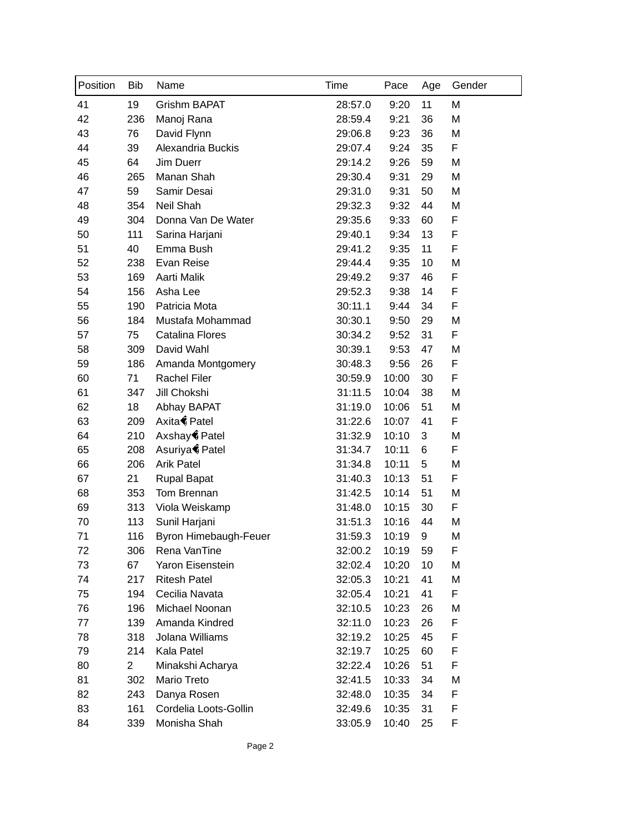| Position | <b>Bib</b>     | Name                  | Time    | Pace  | Age | Gender |
|----------|----------------|-----------------------|---------|-------|-----|--------|
| 41       | 19             | Grishm BAPAT          | 28:57.0 | 9:20  | 11  | M      |
| 42       | 236            | Manoj Rana            | 28:59.4 | 9:21  | 36  | M      |
| 43       | 76             | David Flynn           | 29:06.8 | 9:23  | 36  | M      |
| 44       | 39             | Alexandria Buckis     | 29:07.4 | 9:24  | 35  | F      |
| 45       | 64             | Jim Duerr             | 29:14.2 | 9:26  | 59  | M      |
| 46       | 265            | Manan Shah            | 29:30.4 | 9:31  | 29  | M      |
| 47       | 59             | Samir Desai           | 29:31.0 | 9:31  | 50  | M      |
| 48       | 354            | Neil Shah             | 29:32.3 | 9:32  | 44  | M      |
| 49       | 304            | Donna Van De Water    | 29:35.6 | 9:33  | 60  | F      |
| 50       | 111            | Sarina Harjani        | 29:40.1 | 9:34  | 13  | F      |
| 51       | 40             | Emma Bush             | 29:41.2 | 9:35  | 11  | F      |
| 52       | 238            | Evan Reise            | 29:44.4 | 9:35  | 10  | M      |
| 53       | 169            | Aarti Malik           | 29:49.2 | 9:37  | 46  | F      |
| 54       | 156            | Asha Lee              | 29:52.3 | 9:38  | 14  | F      |
| 55       | 190            | Patricia Mota         | 30:11.1 | 9:44  | 34  | F      |
| 56       | 184            | Mustafa Mohammad      | 30:30.1 | 9:50  | 29  | M      |
| 57       | 75             | Catalina Flores       | 30:34.2 | 9:52  | 31  | F      |
| 58       | 309            | David Wahl            | 30:39.1 | 9:53  | 47  | M      |
| 59       | 186            | Amanda Montgomery     | 30:48.3 | 9:56  | 26  | F      |
| 60       | 71             | <b>Rachel Filer</b>   | 30:59.9 | 10:00 | 30  | F      |
| 61       | 347            | Jill Chokshi          | 31:11.5 | 10:04 | 38  | M      |
| 62       | 18             | Abhay BAPAT           | 31:19.0 | 10:06 | 51  | M      |
| 63       | 209            | Axita Patel           | 31:22.6 | 10:07 | 41  | F      |
| 64       | 210            | Axshay Patel          | 31:32.9 | 10:10 | 3   | M      |
| 65       | 208            | Asuriya Patel         | 31:34.7 | 10:11 | 6   | F      |
| 66       | 206            | <b>Arik Patel</b>     | 31:34.8 | 10:11 | 5   | M      |
| 67       | 21             | <b>Rupal Bapat</b>    | 31:40.3 | 10:13 | 51  | F      |
| 68       | 353            | Tom Brennan           | 31:42.5 | 10:14 | 51  | M      |
| 69       | 313            | Viola Weiskamp        | 31:48.0 | 10:15 | 30  | F      |
| 70       | 113            | Sunil Harjani         | 31:51.3 | 10:16 | 44  | M      |
| 71       | 116            | Byron Himebaugh-Feuer | 31:59.3 | 10:19 | 9   | M      |
| 72       | 306            | Rena VanTine          | 32:00.2 | 10:19 | 59  | F      |
| 73       | 67             | Yaron Eisenstein      | 32:02.4 | 10:20 | 10  | M      |
| 74       | 217            | <b>Ritesh Patel</b>   | 32:05.3 | 10:21 | 41  | M      |
| 75       | 194            | Cecilia Navata        | 32:05.4 | 10:21 | 41  | F      |
| 76       | 196            | Michael Noonan        | 32:10.5 | 10:23 | 26  | M      |
| 77       | 139            | Amanda Kindred        | 32:11.0 | 10:23 | 26  | F      |
| 78       | 318            | Jolana Williams       | 32:19.2 | 10:25 | 45  | F      |
| 79       | 214            | Kala Patel            | 32:19.7 | 10:25 | 60  | F      |
| 80       | $\overline{2}$ | Minakshi Acharya      | 32:22.4 | 10:26 | 51  | F      |
| 81       | 302            | Mario Treto           | 32:41.5 | 10:33 | 34  | M      |
| 82       | 243            | Danya Rosen           | 32:48.0 | 10:35 | 34  | F      |
| 83       | 161            | Cordelia Loots-Gollin | 32:49.6 | 10:35 | 31  | F      |
| 84       | 339            | Monisha Shah          | 33:05.9 | 10:40 | 25  | F      |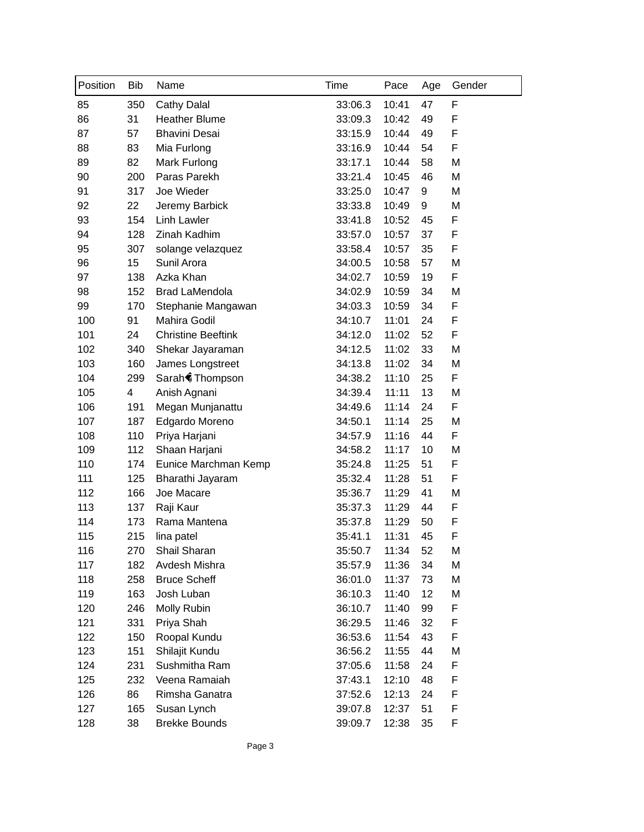| Position | <b>Bib</b> | Name                      | Time    | Pace  | Age | Gender |
|----------|------------|---------------------------|---------|-------|-----|--------|
| 85       | 350        | <b>Cathy Dalal</b>        | 33:06.3 | 10:41 | 47  | F      |
| 86       | 31         | <b>Heather Blume</b>      | 33:09.3 | 10:42 | 49  | F      |
| 87       | 57         | <b>Bhavini Desai</b>      | 33:15.9 | 10:44 | 49  | F      |
| 88       | 83         | Mia Furlong               | 33:16.9 | 10:44 | 54  | F      |
| 89       | 82         | Mark Furlong              | 33:17.1 | 10:44 | 58  | M      |
| 90       | 200        | Paras Parekh              | 33:21.4 | 10:45 | 46  | M      |
| 91       | 317        | Joe Wieder                | 33:25.0 | 10:47 | 9   | M      |
| 92       | 22         | Jeremy Barbick            | 33:33.8 | 10:49 | 9   | M      |
| 93       | 154        | <b>Linh Lawler</b>        | 33:41.8 | 10:52 | 45  | F      |
| 94       | 128        | Zinah Kadhim              | 33:57.0 | 10:57 | 37  | F      |
| 95       | 307        | solange velazquez         | 33:58.4 | 10:57 | 35  | F      |
| 96       | 15         | Sunil Arora               | 34:00.5 | 10:58 | 57  | M      |
| 97       | 138        | Azka Khan                 | 34:02.7 | 10:59 | 19  | F      |
| 98       | 152        | <b>Brad LaMendola</b>     | 34:02.9 | 10:59 | 34  | M      |
| 99       | 170        | Stephanie Mangawan        | 34:03.3 | 10:59 | 34  | F      |
| 100      | 91         | Mahira Godil              | 34:10.7 | 11:01 | 24  | F      |
| 101      | 24         | <b>Christine Beeftink</b> | 34:12.0 | 11:02 | 52  | F      |
| 102      | 340        | Shekar Jayaraman          | 34:12.5 | 11:02 | 33  | M      |
| 103      | 160        | James Longstreet          | 34:13.8 | 11:02 | 34  | M      |
| 104      | 299        | Sarah Thompson            | 34:38.2 | 11:10 | 25  | F      |
| 105      | 4          | Anish Agnani              | 34:39.4 | 11:11 | 13  | M      |
| 106      | 191        | Megan Munjanattu          | 34:49.6 | 11:14 | 24  | F      |
| 107      | 187        | Edgardo Moreno            | 34:50.1 | 11:14 | 25  | M      |
| 108      | 110        | Priya Harjani             | 34:57.9 | 11:16 | 44  | F      |
| 109      | 112        | Shaan Harjani             | 34:58.2 | 11:17 | 10  | M      |
| 110      | 174        | Eunice Marchman Kemp      | 35:24.8 | 11:25 | 51  | F      |
| 111      | 125        | Bharathi Jayaram          | 35:32.4 | 11:28 | 51  | F      |
| 112      | 166        | Joe Macare                | 35:36.7 | 11:29 | 41  | M      |
| 113      | 137        | Raji Kaur                 | 35:37.3 | 11:29 | 44  | F      |
| 114      | 173        | Rama Mantena              | 35:37.8 | 11:29 | 50  | F      |
| 115      | 215        | lina patel                | 35:41.1 | 11:31 | 45  | F      |
| 116      | 270        | Shail Sharan              | 35:50.7 | 11:34 | 52  | M      |
| 117      | 182        | Avdesh Mishra             | 35:57.9 | 11:36 | 34  | M      |
| 118      | 258        | <b>Bruce Scheff</b>       | 36:01.0 | 11:37 | 73  | M      |
| 119      | 163        | Josh Luban                | 36:10.3 | 11:40 | 12  | M      |
| 120      | 246        | Molly Rubin               | 36:10.7 | 11:40 | 99  | F      |
| 121      | 331        | Priya Shah                | 36:29.5 | 11:46 | 32  | F      |
| 122      | 150        | Roopal Kundu              | 36:53.6 | 11:54 | 43  | F      |
| 123      | 151        | Shilajit Kundu            | 36:56.2 | 11:55 | 44  | M      |
| 124      | 231        | Sushmitha Ram             | 37:05.6 | 11:58 | 24  | F      |
| 125      | 232        | Veena Ramaiah             | 37:43.1 | 12:10 | 48  | F      |
| 126      | 86         | Rimsha Ganatra            | 37:52.6 | 12:13 | 24  | F      |
| 127      | 165        | Susan Lynch               | 39:07.8 | 12:37 | 51  | F      |
| 128      | 38         | <b>Brekke Bounds</b>      | 39:09.7 | 12:38 | 35  | F      |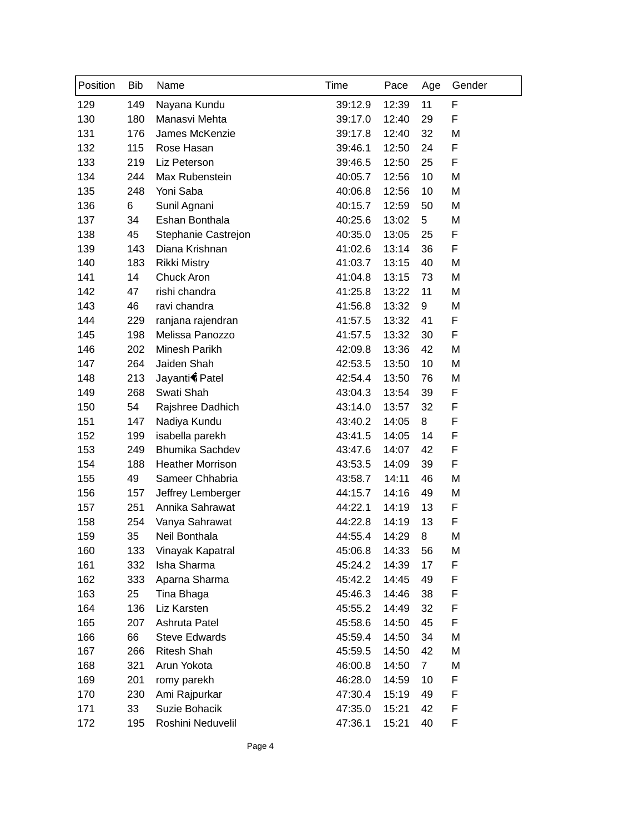| Position | <b>Bib</b> | Name                    | Time    | Pace  | Age            | Gender |
|----------|------------|-------------------------|---------|-------|----------------|--------|
| 129      | 149        | Nayana Kundu            | 39:12.9 | 12:39 | 11             | F      |
| 130      | 180        | Manasvi Mehta           | 39:17.0 | 12:40 | 29             | F      |
| 131      | 176        | James McKenzie          | 39:17.8 | 12:40 | 32             | M      |
| 132      | 115        | Rose Hasan              | 39:46.1 | 12:50 | 24             | F      |
| 133      | 219        | Liz Peterson            | 39:46.5 | 12:50 | 25             | F      |
| 134      | 244        | Max Rubenstein          | 40:05.7 | 12:56 | 10             | M      |
| 135      | 248        | Yoni Saba               | 40:06.8 | 12:56 | 10             | M      |
| 136      | 6          | Sunil Agnani            | 40:15.7 | 12:59 | 50             | M      |
| 137      | 34         | Eshan Bonthala          | 40:25.6 | 13:02 | 5              | M      |
| 138      | 45         | Stephanie Castrejon     | 40:35.0 | 13:05 | 25             | F      |
| 139      | 143        | Diana Krishnan          | 41:02.6 | 13:14 | 36             | F      |
| 140      | 183        | <b>Rikki Mistry</b>     | 41:03.7 | 13:15 | 40             | M      |
| 141      | 14         | Chuck Aron              | 41:04.8 | 13:15 | 73             | M      |
| 142      | 47         | rishi chandra           | 41:25.8 | 13:22 | 11             | M      |
| 143      | 46         | ravi chandra            | 41:56.8 | 13:32 | 9              | M      |
| 144      | 229        | ranjana rajendran       | 41:57.5 | 13:32 | 41             | F      |
| 145      | 198        | Melissa Panozzo         | 41:57.5 | 13:32 | 30             | F      |
| 146      | 202        | Minesh Parikh           | 42:09.8 | 13:36 | 42             | M      |
| 147      | 264        | Jaiden Shah             | 42:53.5 | 13:50 | 10             | M      |
| 148      | 213        | Jayanti Patel           | 42:54.4 | 13:50 | 76             | M      |
| 149      | 268        | Swati Shah              | 43:04.3 | 13:54 | 39             | F      |
| 150      | 54         | Rajshree Dadhich        | 43:14.0 | 13:57 | 32             | F      |
| 151      | 147        | Nadiya Kundu            | 43:40.2 | 14:05 | 8              | F      |
| 152      | 199        | isabella parekh         | 43:41.5 | 14:05 | 14             | F      |
| 153      | 249        | <b>Bhumika Sachdev</b>  | 43:47.6 | 14:07 | 42             | F      |
| 154      | 188        | <b>Heather Morrison</b> | 43:53.5 | 14:09 | 39             | F      |
| 155      | 49         | Sameer Chhabria         | 43:58.7 | 14:11 | 46             | M      |
| 156      | 157        | Jeffrey Lemberger       | 44:15.7 | 14:16 | 49             | M      |
| 157      | 251        | Annika Sahrawat         | 44:22.1 | 14:19 | 13             | F      |
| 158      | 254        | Vanya Sahrawat          | 44:22.8 | 14:19 | 13             | F      |
| 159      | 35         | Neil Bonthala           | 44:55.4 | 14:29 | 8              | M      |
| 160      | 133        | Vinayak Kapatral        | 45:06.8 | 14:33 | 56             | M      |
| 161      | 332        | Isha Sharma             | 45:24.2 | 14:39 | 17             | F      |
| 162      | 333        | Aparna Sharma           | 45:42.2 | 14:45 | 49             | F      |
| 163      | 25         | Tina Bhaga              | 45:46.3 | 14:46 | 38             | F      |
| 164      | 136        | Liz Karsten             | 45:55.2 | 14:49 | 32             | F      |
| 165      | 207        | Ashruta Patel           | 45:58.6 | 14:50 | 45             | F      |
| 166      | 66         | <b>Steve Edwards</b>    | 45:59.4 | 14:50 | 34             | M      |
| 167      | 266        | <b>Ritesh Shah</b>      | 45:59.5 | 14:50 | 42             | M      |
| 168      | 321        | Arun Yokota             | 46:00.8 | 14:50 | $\overline{7}$ | M      |
| 169      | 201        | romy parekh             | 46:28.0 | 14:59 | 10             | F      |
| 170      | 230        | Ami Rajpurkar           | 47:30.4 | 15:19 | 49             | F      |
| 171      | 33         | Suzie Bohacik           | 47:35.0 | 15:21 | 42             | F      |
| 172      | 195        | Roshini Neduvelil       | 47:36.1 | 15:21 | 40             | F      |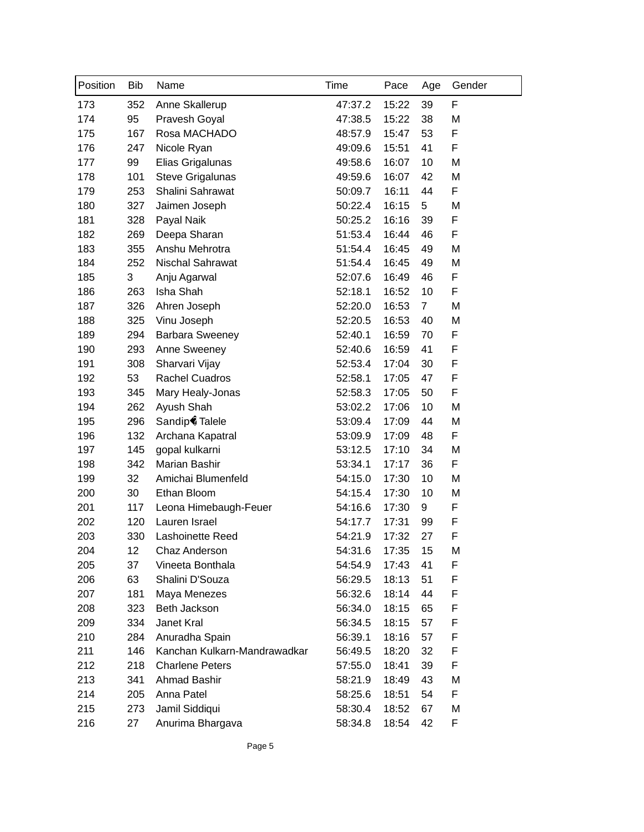| Position | <b>Bib</b> | Name                         | Time    | Pace  | Age            | Gender |
|----------|------------|------------------------------|---------|-------|----------------|--------|
| 173      | 352        | Anne Skallerup               | 47:37.2 | 15:22 | 39             | F      |
| 174      | 95         | Pravesh Goyal                | 47:38.5 | 15:22 | 38             | M      |
| 175      | 167        | Rosa MACHADO                 | 48:57.9 | 15:47 | 53             | F      |
| 176      | 247        | Nicole Ryan                  | 49:09.6 | 15:51 | 41             | F      |
| 177      | 99         | Elias Grigalunas             | 49:58.6 | 16:07 | 10             | M      |
| 178      | 101        | Steve Grigalunas             | 49:59.6 | 16:07 | 42             | M      |
| 179      | 253        | Shalini Sahrawat             | 50:09.7 | 16:11 | 44             | F      |
| 180      | 327        | Jaimen Joseph                | 50:22.4 | 16:15 | 5              | M      |
| 181      | 328        | Payal Naik                   | 50:25.2 | 16:16 | 39             | F      |
| 182      | 269        | Deepa Sharan                 | 51:53.4 | 16:44 | 46             | F      |
| 183      | 355        | Anshu Mehrotra               | 51:54.4 | 16:45 | 49             | M      |
| 184      | 252        | Nischal Sahrawat             | 51:54.4 | 16:45 | 49             | M      |
| 185      | 3          | Anju Agarwal                 | 52:07.6 | 16:49 | 46             | F      |
| 186      | 263        | Isha Shah                    | 52:18.1 | 16:52 | 10             | F      |
| 187      | 326        | Ahren Joseph                 | 52:20.0 | 16:53 | $\overline{7}$ | M      |
| 188      | 325        | Vinu Joseph                  | 52:20.5 | 16:53 | 40             | M      |
| 189      | 294        | <b>Barbara Sweeney</b>       | 52:40.1 | 16:59 | 70             | F      |
| 190      | 293        | Anne Sweeney                 | 52:40.6 | 16:59 | 41             | F      |
| 191      | 308        | Sharvari Vijay               | 52:53.4 | 17:04 | 30             | F      |
| 192      | 53         | <b>Rachel Cuadros</b>        | 52:58.1 | 17:05 | 47             | F      |
| 193      | 345        | Mary Healy-Jonas             | 52:58.3 | 17:05 | 50             | F      |
| 194      | 262        | Ayush Shah                   | 53:02.2 | 17:06 | 10             | M      |
| 195      | 296        | Sandip Talele                | 53:09.4 | 17:09 | 44             | M      |
| 196      | 132        | Archana Kapatral             | 53:09.9 | 17:09 | 48             | F      |
| 197      | 145        | gopal kulkarni               | 53:12.5 | 17:10 | 34             | M      |
| 198      | 342        | Marian Bashir                | 53:34.1 | 17:17 | 36             | F      |
| 199      | 32         | Amichai Blumenfeld           | 54:15.0 | 17:30 | 10             | M      |
| 200      | 30         | Ethan Bloom                  | 54:15.4 | 17:30 | 10             | M      |
| 201      | 117        | Leona Himebaugh-Feuer        | 54:16.6 | 17:30 | 9              | F      |
| 202      | 120        | Lauren Israel                | 54:17.7 | 17:31 | 99             | F      |
| 203      | 330        | Lashoinette Reed             | 54:21.9 | 17:32 | 27             | F      |
| 204      | 12         | Chaz Anderson                | 54:31.6 | 17:35 | 15             | Μ      |
| 205      | 37         | Vineeta Bonthala             | 54:54.9 | 17:43 | 41             | F      |
| 206      | 63         | Shalini D'Souza              | 56:29.5 | 18:13 | 51             | F      |
| 207      | 181        | Maya Menezes                 | 56:32.6 | 18:14 | 44             | F      |
| 208      | 323        | Beth Jackson                 | 56:34.0 | 18:15 | 65             | F      |
| 209      | 334        | Janet Kral                   | 56:34.5 | 18:15 | 57             | F      |
| 210      | 284        | Anuradha Spain               | 56:39.1 | 18:16 | 57             | F      |
| 211      | 146        | Kanchan Kulkarn-Mandrawadkar | 56:49.5 | 18:20 | 32             | F      |
| 212      | 218        | <b>Charlene Peters</b>       | 57:55.0 | 18:41 | 39             | F      |
| 213      | 341        | Ahmad Bashir                 | 58:21.9 | 18:49 | 43             | M      |
| 214      | 205        | Anna Patel                   | 58:25.6 | 18:51 | 54             | F      |
| 215      | 273        | Jamil Siddiqui               | 58:30.4 | 18:52 | 67             | M      |
| 216      | 27         | Anurima Bhargava             | 58:34.8 | 18:54 | 42             | F      |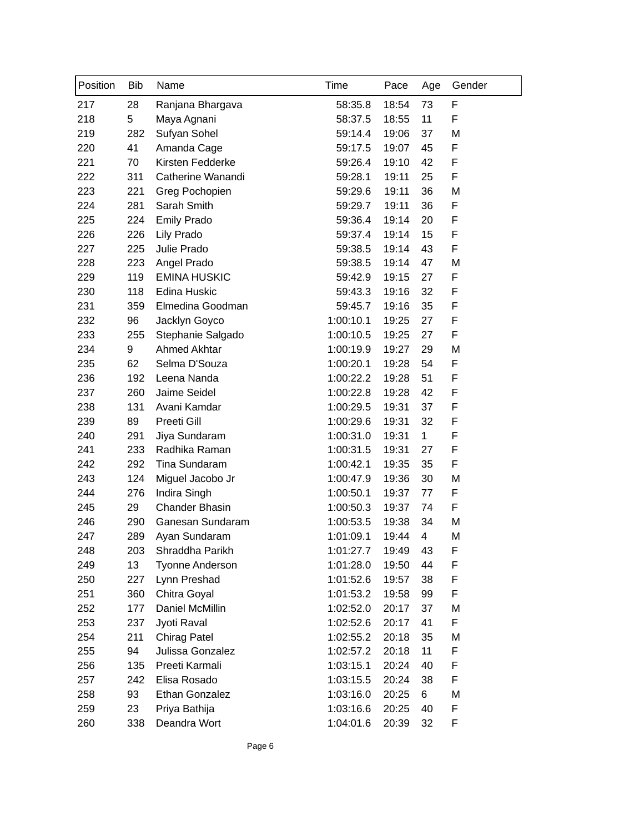| Position | <b>Bib</b> | Name                   | Time      | Pace  | Age          | Gender |
|----------|------------|------------------------|-----------|-------|--------------|--------|
| 217      | 28         | Ranjana Bhargava       | 58:35.8   | 18:54 | 73           | F      |
| 218      | 5          | Maya Agnani            | 58:37.5   | 18:55 | 11           | F      |
| 219      | 282        | Sufyan Sohel           | 59:14.4   | 19:06 | 37           | M      |
| 220      | 41         | Amanda Cage            | 59:17.5   | 19:07 | 45           | F      |
| 221      | 70         | Kirsten Fedderke       | 59:26.4   | 19:10 | 42           | F      |
| 222      | 311        | Catherine Wanandi      | 59:28.1   | 19:11 | 25           | F      |
| 223      | 221        | Greg Pochopien         | 59:29.6   | 19:11 | 36           | M      |
| 224      | 281        | Sarah Smith            | 59:29.7   | 19:11 | 36           | F      |
| 225      | 224        | <b>Emily Prado</b>     | 59:36.4   | 19:14 | 20           | F      |
| 226      | 226        | Lily Prado             | 59:37.4   | 19:14 | 15           | F      |
| 227      | 225        | Julie Prado            | 59:38.5   | 19:14 | 43           | F      |
| 228      | 223        | Angel Prado            | 59:38.5   | 19:14 | 47           | M      |
| 229      | 119        | <b>EMINA HUSKIC</b>    | 59:42.9   | 19:15 | 27           | F      |
| 230      | 118        | Edina Huskic           | 59:43.3   | 19:16 | 32           | F      |
| 231      | 359        | Elmedina Goodman       | 59:45.7   | 19:16 | 35           | F      |
| 232      | 96         | Jacklyn Goyco          | 1:00:10.1 | 19:25 | 27           | F      |
| 233      | 255        | Stephanie Salgado      | 1:00:10.5 | 19:25 | 27           | F      |
| 234      | 9          | Ahmed Akhtar           | 1:00:19.9 | 19:27 | 29           | M      |
| 235      | 62         | Selma D'Souza          | 1:00:20.1 | 19:28 | 54           | F      |
| 236      | 192        | Leena Nanda            | 1:00:22.2 | 19:28 | 51           | F      |
| 237      | 260        | Jaime Seidel           | 1:00:22.8 | 19:28 | 42           | F      |
| 238      | 131        | Avani Kamdar           | 1:00:29.5 | 19:31 | 37           | F      |
| 239      | 89         | Preeti Gill            | 1:00:29.6 | 19:31 | 32           | F      |
| 240      | 291        | Jiya Sundaram          | 1:00:31.0 | 19:31 | $\mathbf{1}$ | F      |
| 241      | 233        | Radhika Raman          | 1:00:31.5 | 19:31 | 27           | F      |
| 242      | 292        | Tina Sundaram          | 1:00:42.1 | 19:35 | 35           | F      |
| 243      | 124        | Miguel Jacobo Jr       | 1:00:47.9 | 19:36 | 30           | M      |
| 244      | 276        | Indira Singh           | 1:00:50.1 | 19:37 | 77           | F      |
| 245      | 29         | <b>Chander Bhasin</b>  | 1:00:50.3 | 19:37 | 74           | F      |
| 246      | 290        | Ganesan Sundaram       | 1:00:53.5 | 19:38 | 34           | M      |
| 247      | 289        | Ayan Sundaram          | 1:01:09.1 | 19:44 | 4            | M      |
| 248      | 203        | Shraddha Parikh        | 1:01:27.7 | 19:49 | 43           | F      |
| 249      | 13         | <b>Tyonne Anderson</b> | 1:01:28.0 | 19:50 | 44           | F      |
| 250      | 227        | Lynn Preshad           | 1:01:52.6 | 19:57 | 38           | F      |
| 251      | 360        | Chitra Goyal           | 1:01:53.2 | 19:58 | 99           | F      |
| 252      | 177        | Daniel McMillin        | 1:02:52.0 | 20:17 | 37           | M      |
| 253      | 237        | Jyoti Raval            | 1:02:52.6 | 20:17 | 41           | F      |
| 254      | 211        | <b>Chirag Patel</b>    | 1:02:55.2 | 20:18 | 35           | M      |
| 255      | 94         | Julissa Gonzalez       | 1:02:57.2 | 20:18 | 11           | F      |
| 256      | 135        | Preeti Karmali         | 1:03:15.1 | 20:24 | 40           | F      |
| 257      | 242        | Elisa Rosado           | 1:03:15.5 | 20:24 | 38           | F      |
| 258      | 93         | Ethan Gonzalez         | 1:03:16.0 | 20:25 | 6            | M      |
| 259      | 23         | Priya Bathija          | 1:03:16.6 | 20:25 | 40           | F      |
| 260      | 338        | Deandra Wort           | 1:04:01.6 | 20:39 | 32           | F      |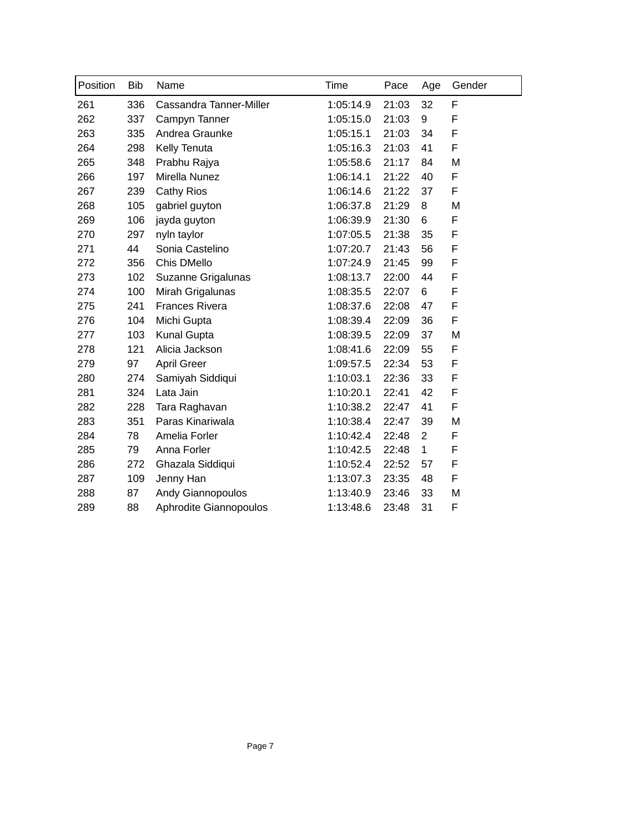| Position | <b>Bib</b> | Name                     | Time      | Pace  | Age            | Gender |
|----------|------------|--------------------------|-----------|-------|----------------|--------|
| 261      | 336        | Cassandra Tanner-Miller  | 1:05:14.9 | 21:03 | 32             | F      |
| 262      | 337        | Campyn Tanner            | 1:05:15.0 | 21:03 | 9              | F      |
| 263      | 335        | Andrea Graunke           | 1:05:15.1 | 21:03 | 34             | F      |
| 264      | 298        | Kelly Tenuta             | 1:05:16.3 | 21:03 | 41             | F      |
| 265      | 348        | Prabhu Rajya             | 1:05:58.6 | 21:17 | 84             | M      |
| 266      | 197        | Mirella Nunez            | 1:06:14.1 | 21:22 | 40             | F      |
| 267      | 239        | <b>Cathy Rios</b>        | 1:06:14.6 | 21:22 | 37             | F      |
| 268      | 105        | gabriel guyton           | 1:06:37.8 | 21:29 | 8              | M      |
| 269      | 106        | jayda guyton             | 1:06:39.9 | 21:30 | 6              | F      |
| 270      | 297        | nyln taylor              | 1:07:05.5 | 21:38 | 35             | F      |
| 271      | 44         | Sonia Castelino          | 1:07:20.7 | 21:43 | 56             | F      |
| 272      | 356        | Chis DMello              | 1:07:24.9 | 21:45 | 99             | F      |
| 273      | 102        | Suzanne Grigalunas       | 1:08:13.7 | 22:00 | 44             | F      |
| 274      | 100        | Mirah Grigalunas         | 1:08:35.5 | 22:07 | 6              | F      |
| 275      | 241        | <b>Frances Rivera</b>    | 1:08:37.6 | 22:08 | 47             | F      |
| 276      | 104        | Michi Gupta              | 1:08:39.4 | 22:09 | 36             | F      |
| 277      | 103        | <b>Kunal Gupta</b>       | 1:08:39.5 | 22:09 | 37             | M      |
| 278      | 121        | Alicia Jackson           | 1:08:41.6 | 22:09 | 55             | F      |
| 279      | 97         | April Greer              | 1:09:57.5 | 22:34 | 53             | F      |
| 280      | 274        | Samiyah Siddiqui         | 1:10:03.1 | 22:36 | 33             | F      |
| 281      | 324        | Lata Jain                | 1:10:20.1 | 22:41 | 42             | F      |
| 282      | 228        | Tara Raghavan            | 1:10:38.2 | 22:47 | 41             | F      |
| 283      | 351        | Paras Kinariwala         | 1:10:38.4 | 22:47 | 39             | M      |
| 284      | 78         | Amelia Forler            | 1:10:42.4 | 22:48 | $\overline{2}$ | F      |
| 285      | 79         | Anna Forler              | 1:10:42.5 | 22:48 | $\mathbf{1}$   | F      |
| 286      | 272        | Ghazala Siddiqui         | 1:10:52.4 | 22:52 | 57             | F      |
| 287      | 109        | Jenny Han                | 1:13:07.3 | 23:35 | 48             | F      |
| 288      | 87         | <b>Andy Giannopoulos</b> | 1:13:40.9 | 23:46 | 33             | M      |
| 289      | 88         | Aphrodite Giannopoulos   | 1:13:48.6 | 23:48 | 31             | F      |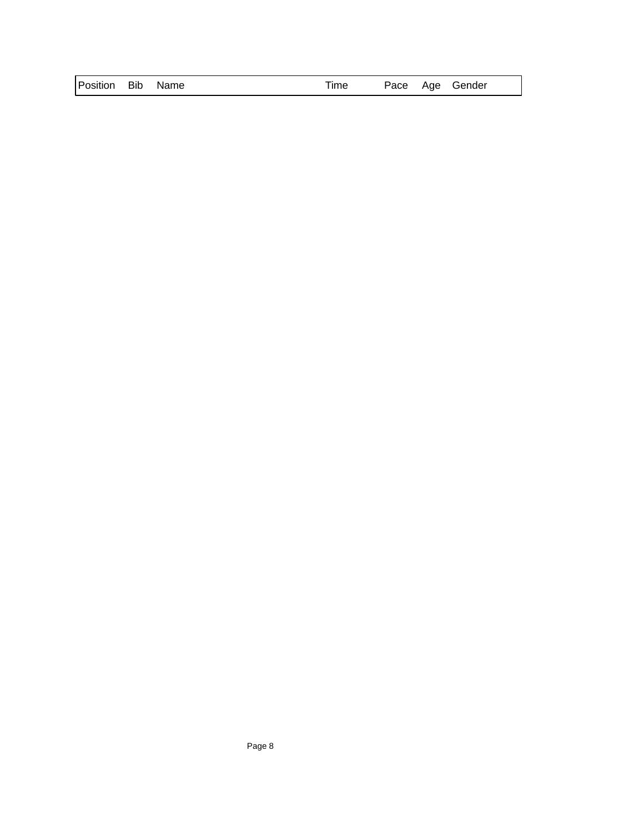| Position Bib Name | Time |  |  | Pace Age Gender |
|-------------------|------|--|--|-----------------|
|-------------------|------|--|--|-----------------|